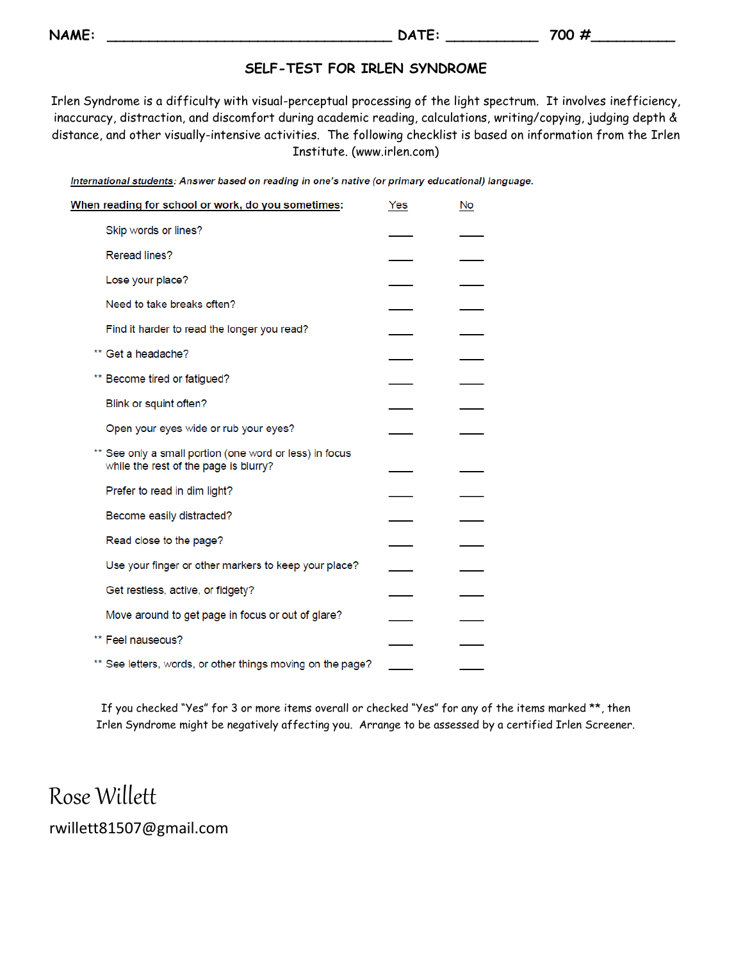**NAME:** 200 #

## **SELF-TEST FOR IRLEN SYNDROME**

Irlen Syndrome is a difficulty with visual-perceptual processing of the light spectrum. It involves inefficiency, inaccuracy, distraction, and discomfort during academic reading, calculations, writing/copying, judging depth & distance, and other visually-intensive activities. The following checklist is based on information from the Irlen Institute. (www.irlen.com)

International students: Answer based on reading in one's native (or primary educational) language.

| When reading for school or work, do you sometimes:                                               | Yes | No |
|--------------------------------------------------------------------------------------------------|-----|----|
| Skip words or lines?                                                                             |     |    |
| Reread lines?                                                                                    |     |    |
| Lose your place?                                                                                 |     |    |
| Need to take breaks often?                                                                       |     |    |
| Find it harder to read the longer you read?                                                      |     |    |
| Get a headache?                                                                                  |     |    |
| Become tired or fatigued?                                                                        |     |    |
| Blink or squint often?                                                                           |     |    |
| Open your eyes wide or rub your eyes?                                                            |     |    |
| ** See only a small portion (one word or less) in focus<br>while the rest of the page is blurry? |     |    |
| Prefer to read in dim light?                                                                     |     |    |
| Become easily distracted?                                                                        |     |    |
| Read close to the page?                                                                          |     |    |
| Use your finger or other markers to keep your place?                                             |     |    |
| Get restless, active, or fidgety?                                                                |     |    |
| Move around to get page in focus or out of glare?                                                |     |    |
| ** Feel nauseous?                                                                                |     |    |
| ** See letters, words, or other things moving on the page?                                       |     |    |

If you checked "Yes" for 3 or more items overall or checked "Yes" for any of the items marked \*\*, then Irlen Syndrome might be negatively affecting you. Arrange to be assessed by a certified Irlen Screener.

Rose Willett rwillett81507@gmail.com